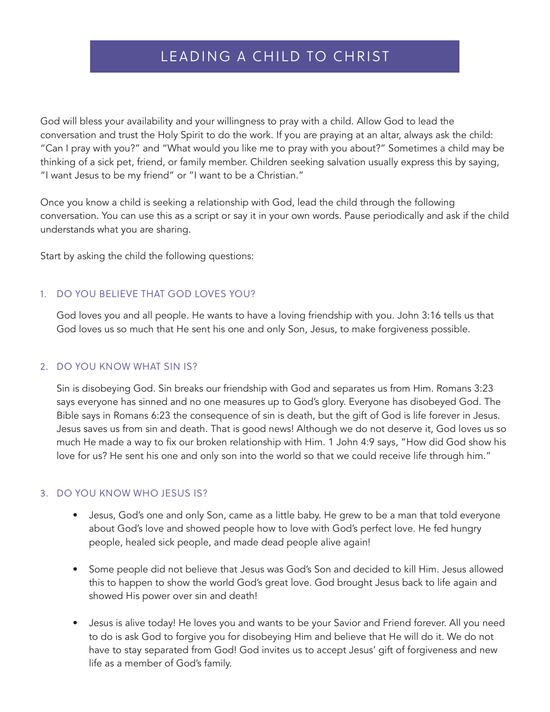# LEADING A CHILD TO CHRIST

God will bless your availability and your willingness to pray with a child. Allow God to lead the conversation and trust the Holy Spirit to do the work. If you are praying at an altar, always ask the child: "Can I pray with you?" and "What would you like me to pray with you about?" Sometimes a child may be thinking of a sick pet, friend, or family member. Children seeking salvation usually express this by saying, "I want Jesus to be my friend" or "I want to be a Christian."

Once you know a child is seeking a relationship with God, lead the child through the following conversation. You can use this as a script or say it in your own words. Pause periodically and ask if the child understands what you are sharing.

Start by asking the child the following questions:

## 1. DO YOU BELIEVE THAT GOD LOVES YOU?

God loves you and all people. He wants to have a loving friendship with you. John 3:16 tells us that God loves us so much that He sent his one and only Son, Jesus, to make forgiveness possible.

#### 2. DO YOU KNOW WHAT SIN IS?

Sin is disobeying God. Sin breaks our friendship with God and separates us from Him. Romans 3:23 says everyone has sinned and no one measures up to God's glory. Everyone has disobeyed God. The Bible says in Romans 6:23 the consequence of sin is death, but the gift of God is life forever in Jesus. Jesus saves us from sin and death. That is good news! Although we do not deserve it, God loves us so much He made a way to fix our broken relationship with Him. 1 John 4:9 says, "How did God show his love for us? He sent his one and only son into the world so that we could receive life through him."

## 3. DO YOU KNOW WHO JESUS IS?

- Jesus, God's one and only Son, came as a little baby. He grew to be a man that told everyone about God's love and showed people how to love with God's perfect love. He fed hungry people, healed sick people, and made dead people alive again!
- Some people did not believe that Jesus was God's Son and decided to kill Him. Jesus allowed this to happen to show the world God's great love. God brought Jesus back to life again and showed His power over sin and death!
- Jesus is alive today! He loves you and wants to be your Savior and Friend forever. All you need to do is ask God to forgive you for disobeying Him and believe that He will do it. We do not have to stay separated from God! God invites us to accept Jesus' gift of forgiveness and new life as a member of God's family.